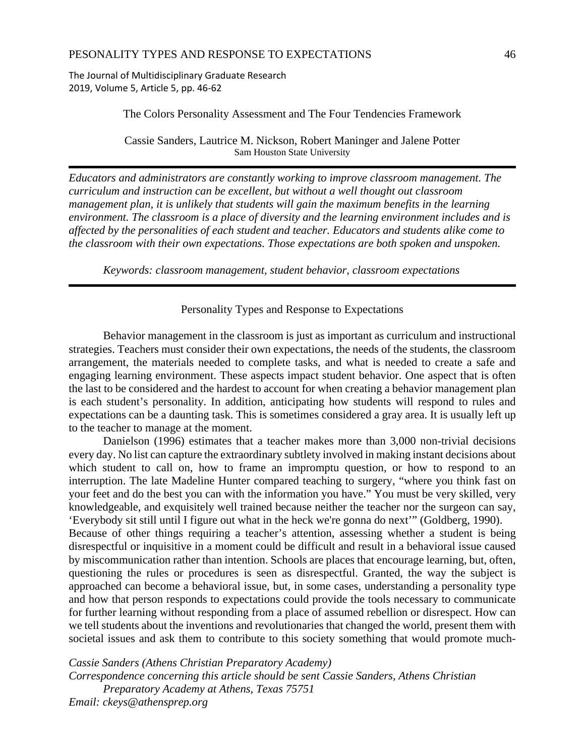The Journal of Multidisciplinary Graduate Research 2019, Volume 5, Article 5, pp. 46‐62

#### The Colors Personality Assessment and The Four Tendencies Framework

Cassie Sanders, Lautrice M. Nickson, Robert Maninger and Jalene Potter Sam Houston State University

*Educators and administrators are constantly working to improve classroom management. The curriculum and instruction can be excellent, but without a well thought out classroom management plan, it is unlikely that students will gain the maximum benefits in the learning environment. The classroom is a place of diversity and the learning environment includes and is affected by the personalities of each student and teacher. Educators and students alike come to the classroom with their own expectations. Those expectations are both spoken and unspoken.*

*Keywords: classroom management, student behavior, classroom expectations* 

### Personality Types and Response to Expectations

Behavior management in the classroom is just as important as curriculum and instructional strategies. Teachers must consider their own expectations, the needs of the students, the classroom arrangement, the materials needed to complete tasks, and what is needed to create a safe and engaging learning environment. These aspects impact student behavior. One aspect that is often the last to be considered and the hardest to account for when creating a behavior management plan is each student's personality. In addition, anticipating how students will respond to rules and expectations can be a daunting task. This is sometimes considered a gray area. It is usually left up to the teacher to manage at the moment.

Danielson (1996) estimates that a teacher makes more than 3,000 non-trivial decisions every day. No list can capture the extraordinary subtlety involved in making instant decisions about which student to call on, how to frame an impromptu question, or how to respond to an interruption. The late Madeline Hunter compared teaching to surgery, "where you think fast on your feet and do the best you can with the information you have." You must be very skilled, very knowledgeable, and exquisitely well trained because neither the teacher nor the surgeon can say, 'Everybody sit still until I figure out what in the heck we're gonna do next'" (Goldberg, 1990). Because of other things requiring a teacher's attention, assessing whether a student is being disrespectful or inquisitive in a moment could be difficult and result in a behavioral issue caused by miscommunication rather than intention. Schools are places that encourage learning, but, often, questioning the rules or procedures is seen as disrespectful. Granted, the way the subject is approached can become a behavioral issue, but, in some cases, understanding a personality type and how that person responds to expectations could provide the tools necessary to communicate for further learning without responding from a place of assumed rebellion or disrespect. How can we tell students about the inventions and revolutionaries that changed the world, present them with societal issues and ask them to contribute to this society something that would promote much-

*Cassie Sanders (Athens Christian Preparatory Academy) Correspondence concerning this article should be sent Cassie Sanders, Athens Christian Preparatory Academy at Athens, Texas 75751 Email: ckeys@athensprep.org*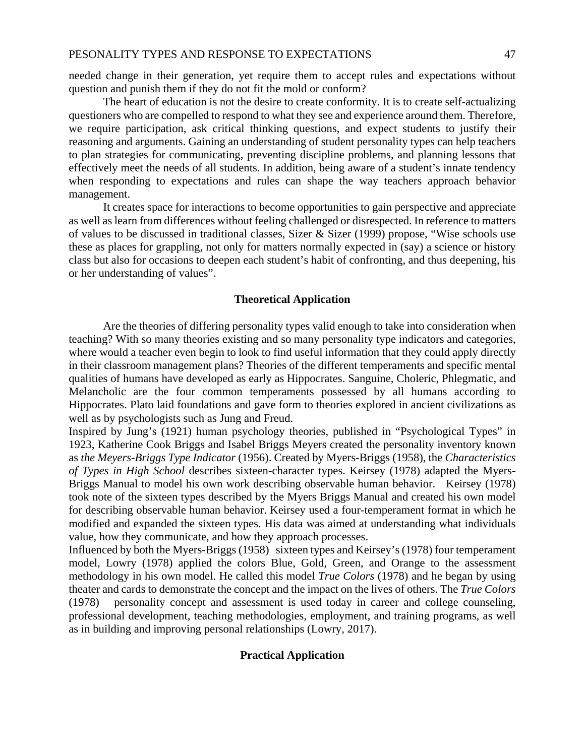needed change in their generation, yet require them to accept rules and expectations without question and punish them if they do not fit the mold or conform?

The heart of education is not the desire to create conformity. It is to create self-actualizing questioners who are compelled to respond to what they see and experience around them. Therefore, we require participation, ask critical thinking questions, and expect students to justify their reasoning and arguments. Gaining an understanding of student personality types can help teachers to plan strategies for communicating, preventing discipline problems, and planning lessons that effectively meet the needs of all students. In addition, being aware of a student's innate tendency when responding to expectations and rules can shape the way teachers approach behavior management.

It creates space for interactions to become opportunities to gain perspective and appreciate as well as learn from differences without feeling challenged or disrespected. In reference to matters of values to be discussed in traditional classes, Sizer & Sizer (1999) propose, "Wise schools use these as places for grappling, not only for matters normally expected in (say) a science or history class but also for occasions to deepen each student's habit of confronting, and thus deepening, his or her understanding of values".

### **Theoretical Application**

 Are the theories of differing personality types valid enough to take into consideration when teaching? With so many theories existing and so many personality type indicators and categories, where would a teacher even begin to look to find useful information that they could apply directly in their classroom management plans? Theories of the different temperaments and specific mental qualities of humans have developed as early as Hippocrates. Sanguine, Choleric, Phlegmatic, and Melancholic are the four common temperaments possessed by all humans according to Hippocrates. Plato laid foundations and gave form to theories explored in ancient civilizations as well as by psychologists such as Jung and Freud.

Inspired by Jung's (1921) human psychology theories, published in "Psychological Types" in 1923, Katherine Cook Briggs and Isabel Briggs Meyers created the personality inventory known as *the Meyers-Briggs Type Indicator* (1956). Created by Myers-Briggs (1958), the *Characteristics of Types in High School* describes sixteen-character types. Keirsey (1978) adapted the Myers-Briggs Manual to model his own work describing observable human behavior. Keirsey (1978) took note of the sixteen types described by the Myers Briggs Manual and created his own model for describing observable human behavior. Keirsey used a four-temperament format in which he modified and expanded the sixteen types. His data was aimed at understanding what individuals value, how they communicate, and how they approach processes.

Influenced by both the Myers-Briggs (1958) sixteen types and Keirsey's (1978) four temperament model, Lowry (1978) applied the colors Blue, Gold, Green, and Orange to the assessment methodology in his own model. He called this model *True Colors* (1978) and he began by using theater and cards to demonstrate the concept and the impact on the lives of others. The *True Colors*  (1978) personality concept and assessment is used today in career and college counseling, professional development, teaching methodologies, employment, and training programs, as well as in building and improving personal relationships (Lowry, 2017).

#### **Practical Application**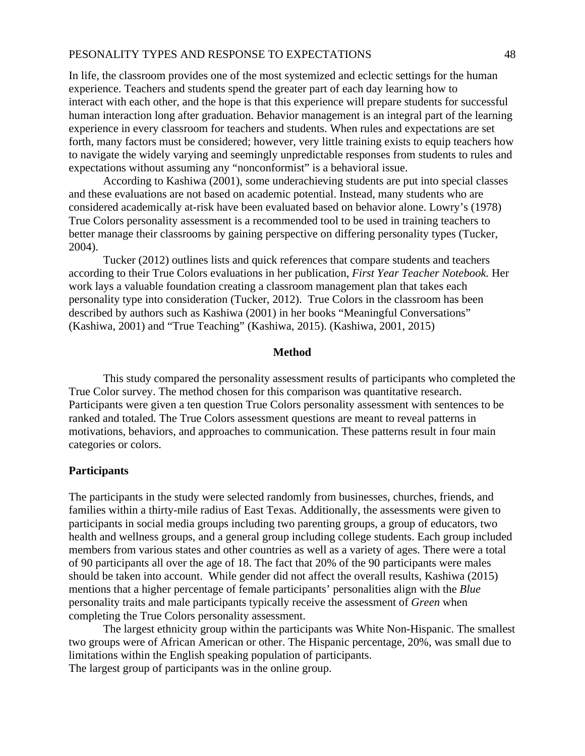### PESONALITY TYPES AND RESPONSE TO EXPECTATIONS 48

In life, the classroom provides one of the most systemized and eclectic settings for the human experience. Teachers and students spend the greater part of each day learning how to interact with each other, and the hope is that this experience will prepare students for successful human interaction long after graduation. Behavior management is an integral part of the learning experience in every classroom for teachers and students. When rules and expectations are set forth, many factors must be considered; however, very little training exists to equip teachers how to navigate the widely varying and seemingly unpredictable responses from students to rules and expectations without assuming any "nonconformist" is a behavioral issue.

 According to Kashiwa (2001), some underachieving students are put into special classes and these evaluations are not based on academic potential. Instead, many students who are considered academically at-risk have been evaluated based on behavior alone. Lowry's (1978) True Colors personality assessment is a recommended tool to be used in training teachers to better manage their classrooms by gaining perspective on differing personality types (Tucker, 2004).

 Tucker (2012) outlines lists and quick references that compare students and teachers according to their True Colors evaluations in her publication, *First Year Teacher Notebook.* Her work lays a valuable foundation creating a classroom management plan that takes each personality type into consideration (Tucker, 2012). True Colors in the classroom has been described by authors such as Kashiwa (2001) in her books "Meaningful Conversations" (Kashiwa, 2001) and "True Teaching" (Kashiwa, 2015). (Kashiwa, 2001, 2015)

#### **Method**

 This study compared the personality assessment results of participants who completed the True Color survey. The method chosen for this comparison was quantitative research. Participants were given a ten question True Colors personality assessment with sentences to be ranked and totaled. The True Colors assessment questions are meant to reveal patterns in motivations, behaviors, and approaches to communication. These patterns result in four main categories or colors.

#### **Participants**

The participants in the study were selected randomly from businesses, churches, friends, and families within a thirty-mile radius of East Texas. Additionally, the assessments were given to participants in social media groups including two parenting groups, a group of educators, two health and wellness groups, and a general group including college students. Each group included members from various states and other countries as well as a variety of ages. There were a total of 90 participants all over the age of 18. The fact that 20% of the 90 participants were males should be taken into account. While gender did not affect the overall results, Kashiwa (2015) mentions that a higher percentage of female participants' personalities align with the *Blue* personality traits and male participants typically receive the assessment of *Green* when completing the True Colors personality assessment.

 The largest ethnicity group within the participants was White Non-Hispanic. The smallest two groups were of African American or other. The Hispanic percentage, 20%, was small due to limitations within the English speaking population of participants.

The largest group of participants was in the online group.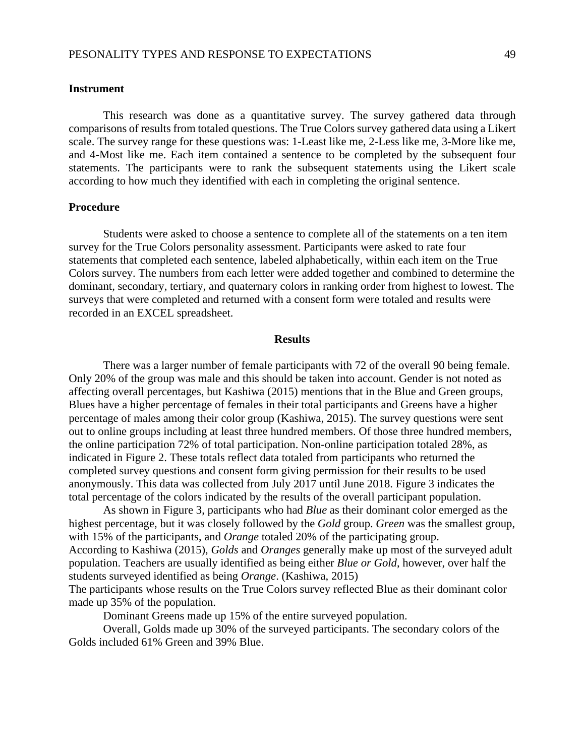### **Instrument**

This research was done as a quantitative survey. The survey gathered data through comparisons of results from totaled questions. The True Colors survey gathered data using a Likert scale. The survey range for these questions was: 1-Least like me, 2-Less like me, 3-More like me, and 4-Most like me. Each item contained a sentence to be completed by the subsequent four statements. The participants were to rank the subsequent statements using the Likert scale according to how much they identified with each in completing the original sentence.

#### **Procedure**

Students were asked to choose a sentence to complete all of the statements on a ten item survey for the True Colors personality assessment. Participants were asked to rate four statements that completed each sentence, labeled alphabetically, within each item on the True Colors survey. The numbers from each letter were added together and combined to determine the dominant, secondary, tertiary, and quaternary colors in ranking order from highest to lowest. The surveys that were completed and returned with a consent form were totaled and results were recorded in an EXCEL spreadsheet.

#### **Results**

There was a larger number of female participants with 72 of the overall 90 being female. Only 20% of the group was male and this should be taken into account. Gender is not noted as affecting overall percentages, but Kashiwa (2015) mentions that in the Blue and Green groups, Blues have a higher percentage of females in their total participants and Greens have a higher percentage of males among their color group (Kashiwa, 2015). The survey questions were sent out to online groups including at least three hundred members. Of those three hundred members, the online participation 72% of total participation. Non-online participation totaled 28%, as indicated in Figure 2. These totals reflect data totaled from participants who returned the completed survey questions and consent form giving permission for their results to be used anonymously. This data was collected from July 2017 until June 2018. Figure 3 indicates the total percentage of the colors indicated by the results of the overall participant population.

 As shown in Figure 3, participants who had *Blue* as their dominant color emerged as the highest percentage, but it was closely followed by the *Gold* group. *Green* was the smallest group, with 15% of the participants, and *Orange* totaled 20% of the participating group. According to Kashiwa (2015), *Golds* and *Oranges* generally make up most of the surveyed adult population. Teachers are usually identified as being either *Blue or Gold*, however, over half the students surveyed identified as being *Orange*. (Kashiwa, 2015)

The participants whose results on the True Colors survey reflected Blue as their dominant color made up 35% of the population.

Dominant Greens made up 15% of the entire surveyed population.

 Overall, Golds made up 30% of the surveyed participants. The secondary colors of the Golds included 61% Green and 39% Blue.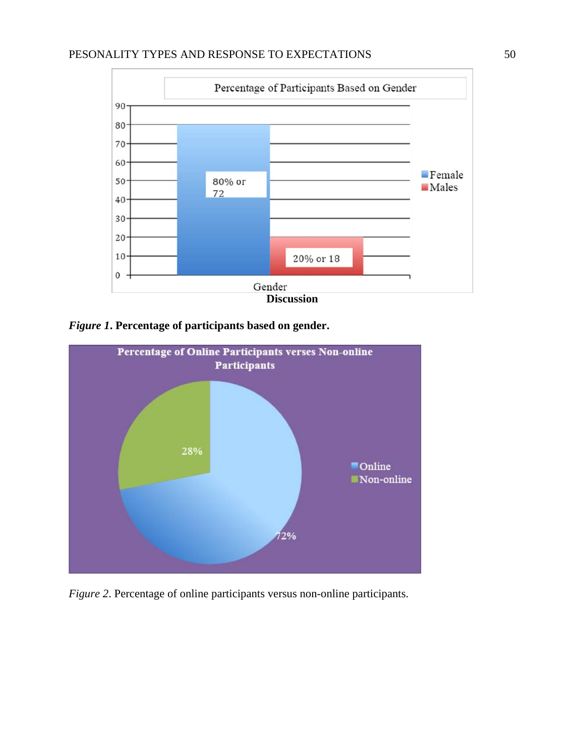# PESONALITY TYPES AND RESPONSE TO EXPECTATIONS 50



*Figure 1***. Percentage of participants based on gender.** 



*Figure 2*. Percentage of online participants versus non-online participants.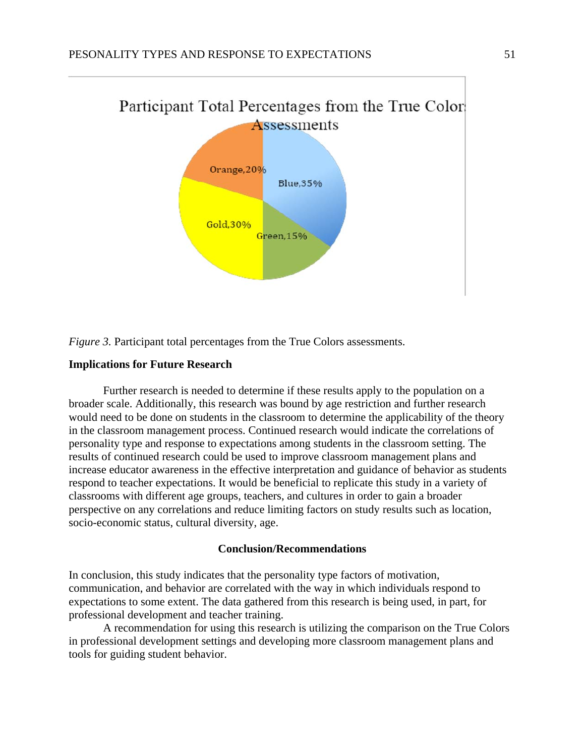



## **Implications for Future Research**

Further research is needed to determine if these results apply to the population on a broader scale. Additionally, this research was bound by age restriction and further research would need to be done on students in the classroom to determine the applicability of the theory in the classroom management process. Continued research would indicate the correlations of personality type and response to expectations among students in the classroom setting. The results of continued research could be used to improve classroom management plans and increase educator awareness in the effective interpretation and guidance of behavior as students respond to teacher expectations. It would be beneficial to replicate this study in a variety of classrooms with different age groups, teachers, and cultures in order to gain a broader perspective on any correlations and reduce limiting factors on study results such as location, socio-economic status, cultural diversity, age.

## **Conclusion/Recommendations**

In conclusion, this study indicates that the personality type factors of motivation, communication, and behavior are correlated with the way in which individuals respond to expectations to some extent. The data gathered from this research is being used, in part, for professional development and teacher training.

 A recommendation for using this research is utilizing the comparison on the True Colors in professional development settings and developing more classroom management plans and tools for guiding student behavior.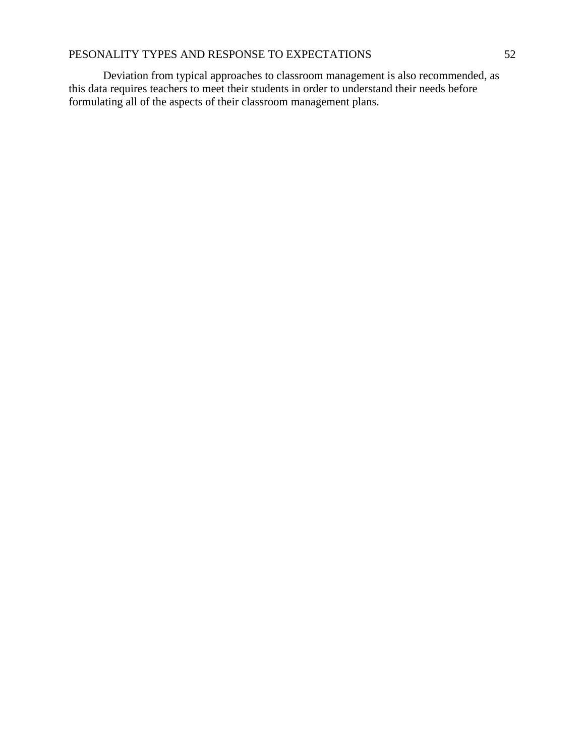# PESONALITY TYPES AND RESPONSE TO EXPECTATIONS 52

 Deviation from typical approaches to classroom management is also recommended, as this data requires teachers to meet their students in order to understand their needs before formulating all of the aspects of their classroom management plans.